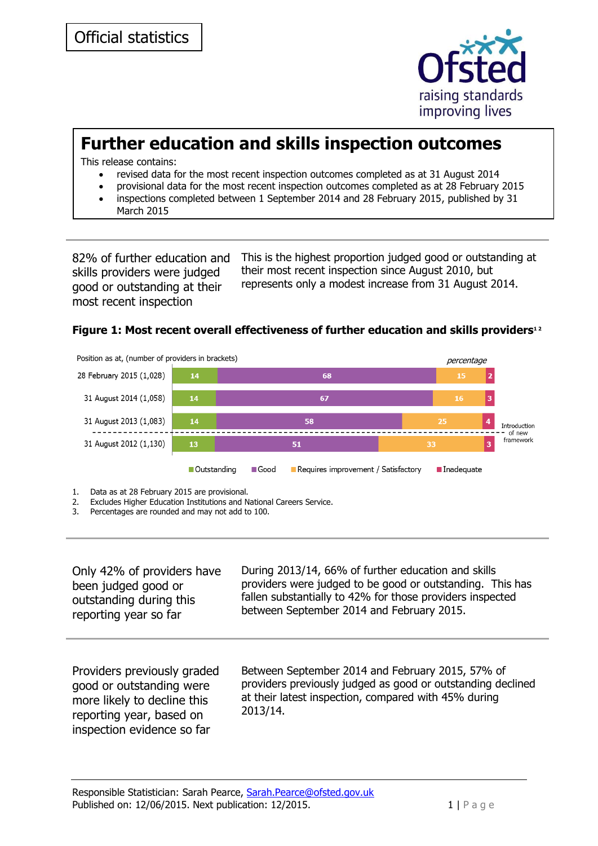

# **Further education and skills inspection outcomes**

This release contains:

- revised data for the most recent inspection outcomes completed as at 31 August 2014
- provisional data for the most recent inspection outcomes completed as at 28 February 2015
- inspections completed between 1 September 2014 and 28 February 2015, published by 31 March 2015

82% of further education and skills providers were judged good or outstanding at their most recent inspection

This is the highest proportion judged good or outstanding at their most recent inspection since August 2010, but represents only a modest increase from 31 August 2014.

#### **Figure 1: Most recent overall effectiveness of further education and skills providers1 2**



2. Excludes Higher Education Institutions and National Careers Service.

- 
- 3. Percentages are rounded and may not add to 100.

| Only 42% of providers have                                                                                                                       | During 2013/14, 66% of further education and skills                                                                                                                                 |
|--------------------------------------------------------------------------------------------------------------------------------------------------|-------------------------------------------------------------------------------------------------------------------------------------------------------------------------------------|
| been judged good or                                                                                                                              | providers were judged to be good or outstanding. This has                                                                                                                           |
| outstanding during this                                                                                                                          | fallen substantially to 42% for those providers inspected                                                                                                                           |
| reporting year so far                                                                                                                            | between September 2014 and February 2015.                                                                                                                                           |
| Providers previously graded<br>good or outstanding were<br>more likely to decline this<br>reporting year, based on<br>inspection evidence so far | Between September 2014 and February 2015, 57% of<br>providers previously judged as good or outstanding declined<br>at their latest inspection, compared with 45% during<br>2013/14. |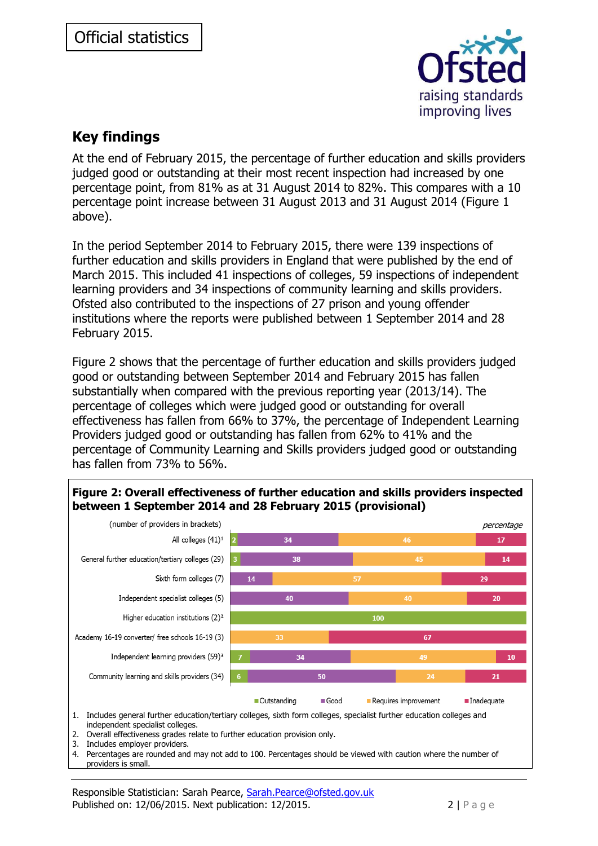

### **Key findings**

At the end of February 2015, the percentage of further education and skills providers judged good or outstanding at their most recent inspection had increased by one percentage point, from 81% as at 31 August 2014 to 82%. This compares with a 10 percentage point increase between 31 August 2013 and 31 August 2014 (Figure 1 above).

In the period September 2014 to February 2015, there were 139 inspections of further education and skills providers in England that were published by the end of March 2015. This included 41 inspections of colleges, 59 inspections of independent learning providers and 34 inspections of community learning and skills providers. Ofsted also contributed to the inspections of 27 prison and young offender institutions where the reports were published between 1 September 2014 and 28 February 2015.

Figure 2 shows that the percentage of further education and skills providers judged good or outstanding between September 2014 and February 2015 has fallen substantially when compared with the previous reporting year (2013/14). The percentage of colleges which were judged good or outstanding for overall effectiveness has fallen from 66% to 37%, the percentage of Independent Learning Providers judged good or outstanding has fallen from 62% to 41% and the percentage of Community Learning and Skills providers judged good or outstanding has fallen from 73% to 56%.

#### **Figure 2: Overall effectiveness of further education and skills providers inspected between 1 September 2014 and 28 February 2015 (provisional)**



independent specialist colleges.

2. Overall effectiveness grades relate to further education provision only.

3. Includes employer providers.

4. Percentages are rounded and may not add to 100. Percentages should be viewed with caution where the number of providers is small.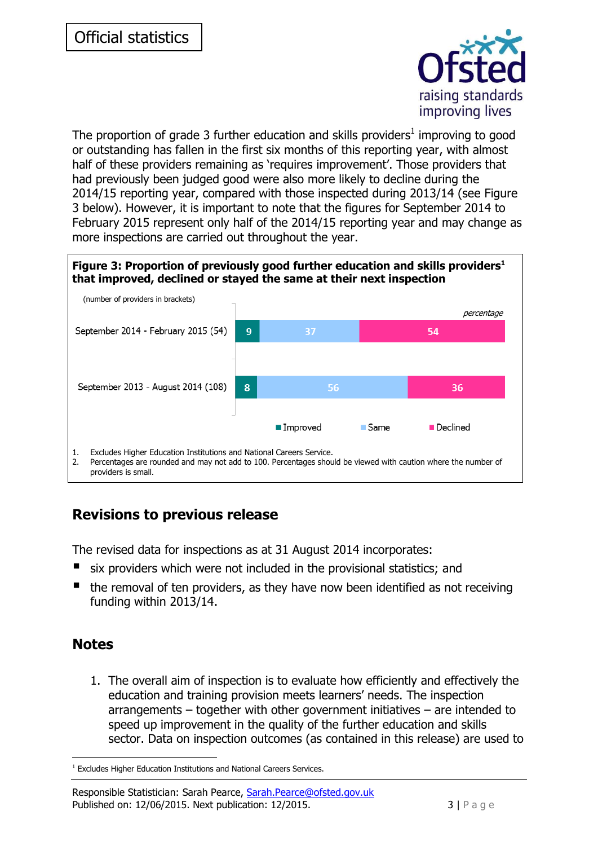

The proportion of grade 3 further education and skills providers<sup>1</sup> improving to good or outstanding has fallen in the first six months of this reporting year, with almost half of these providers remaining as 'requires improvement'. Those providers that had previously been judged good were also more likely to decline during the 2014/15 reporting year, compared with those inspected during 2013/14 (see Figure 3 below). However, it is important to note that the figures for September 2014 to February 2015 represent only half of the 2014/15 reporting year and may change as more inspections are carried out throughout the year.

#### **Figure 3: Proportion of previously good further education and skills providers<sup>1</sup> that improved, declined or stayed the same at their next inspection**



## **Revisions to previous release**

The revised data for inspections as at 31 August 2014 incorporates:

- six providers which were not included in the provisional statistics; and
- $\blacksquare$  the removal of ten providers, as they have now been identified as not receiving funding within 2013/14.

### **Notes**

1. The overall aim of inspection is to evaluate how efficiently and effectively the education and training provision meets learners' needs. The inspection arrangements – together with other government initiatives – are intended to speed up improvement in the quality of the further education and skills sector. Data on inspection outcomes (as contained in this release) are used to

<sup>-</sup><sup>1</sup> Excludes Higher Education Institutions and National Careers Services.